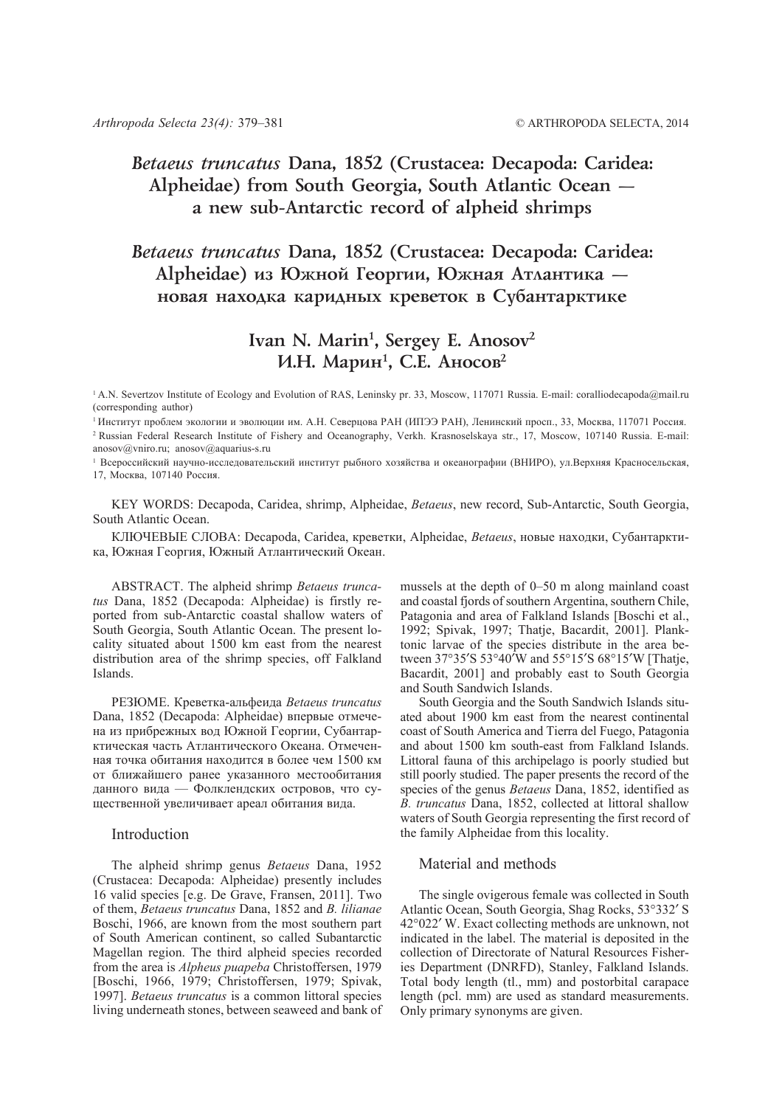# *Betaeus truncatus* **Dana, 1852 (Crustacea: Decapoda: Caridea: Alpheidae) from South Georgia, South Atlantic Ocean a new sub-Antarctic record of alpheid shrimps**

# *Betaeus truncatus* **Dana, 1852 (Crustacea: Decapoda: Caridea:** Alpheidae) из Южной Георгии, Южная Атлантика **иовая находка каридных креветок в Субантарктике**

# Ivan N. Marin<sup>1</sup>, Sergey E. Anosov<sup>2</sup> И.Н. Марин<sup>1</sup>, С.Е. Аносов<sup>2</sup>

<sup>1</sup> A.N. Severtzov Institute of Ecology and Evolution of RAS, Leninsky pr. 33, Moscow, 117071 Russia. E-mail: coralliodecapoda@mail.ru (corresponding author)

anosov@vniro.ru; anosov@aquarius-s.ru

<sup>1</sup>Всероссийский научно-исследовательский институт рыбного хозяйства и океанографии (ВНИРО), ул.Верхняя Красносельская, 17, Москва, 107140 Россия.

KEY WORDS: Decapoda, Caridea, shrimp, Alpheidae, *Betaeus*, new record, Sub-Antarctic, South Georgia, South Atlantic Ocean.

КЛЮЧЕВЫЕ СЛОВА: Decapoda, Caridea, креветки, Alpheidae, *Betaeus*, новые находки, Субантарктика, Южная Георгия, Южный Атлантический Океан.

ABSTRACT. The alpheid shrimp *Betaeus truncatus* Dana, 1852 (Decapoda: Alpheidae) is firstly reported from sub-Antarctic coastal shallow waters of South Georgia, South Atlantic Ocean. The present locality situated about 1500 km east from the nearest distribution area of the shrimp species, off Falkland Islands.

РЕЗЮМЕ. Креветка-альфеида *Betaeus truncatus* Dana, 1852 (Decapoda: Alpheidae) впервые отмечена из прибрежных вод Южной Георгии, Субантарктическая часть Атлантического Океана. Отмеченная точка обитания находится в более чем 1500 км от ближайшего ранее указанного местообитания данного вида — Фолклендских островов, что существенной увеличивает ареал обитания вида.

### Introduction

The alpheid shrimp genus *Betaeus* Dana, 1952 (Crustacea: Decapoda: Alpheidae) presently includes 16 valid species [e.g. De Grave, Fransen, 2011]. Two of them, *Betaeus truncatus* Dana, 1852 and *B. lilianae* Boschi, 1966, are known from the most southern part of South American continent, so called Subantarctic Magellan region. The third alpheid species recorded from the area is *Alpheus puapeba* Christoffersen, 1979 [Boschi, 1966, 1979; Christoffersen, 1979; Spivak, 1997]. *Betaeus truncatus* is a common littoral species living underneath stones, between seaweed and bank of mussels at the depth of 0–50 m along mainland coast and coastal fjords of southern Argentina, southern Chile, Patagonia and area of Falkland Islands [Boschi et al., 1992; Spivak, 1997; Thatje, Bacardit, 2001]. Planktonic larvae of the species distribute in the area between 37°35′S 53°40′W and 55°15′S 68°15′W [Thatje, Bacardit, 2001] and probably east to South Georgia and South Sandwich Islands.

South Georgia and the South Sandwich Islands situated about 1900 km east from the nearest continental coast of South America and Tierra del Fuego, Patagonia and about 1500 km south-east from Falkland Islands. Littoral fauna of this archipelago is poorly studied but still poorly studied. The paper presents the record of the species of the genus *Betaeus* Dana, 1852, identified as *B. truncatus* Dana, 1852, collected at littoral shallow waters of South Georgia representing the first record of the family Alpheidae from this locality.

### Material and methods

The single ovigerous female was collected in South Atlantic Ocean, South Georgia, Shag Rocks, 53°332′ S 42°022′ W. Exact collecting methods are unknown, not indicated in the label. The material is deposited in the collection of Directorate of Natural Resources Fisheries Department (DNRFD), Stanley, Falkland Islands. Total body length (tl., mm) and postorbital carapace length (pcl. mm) are used as standard measurements. Only primary synonyms are given.

<sup>1</sup>Институт проблем экологии и эволюции им. А.Н. Северцова РАН (ИПЭЭ РАН), Ленинский просп., 33, Москва, 117071 Россия. 2 Russian Federal Research Institute of Fishery and Oceanography, Verkh. Krasnoselskaya str., 17, Moscow, 107140 Russia. E-mail: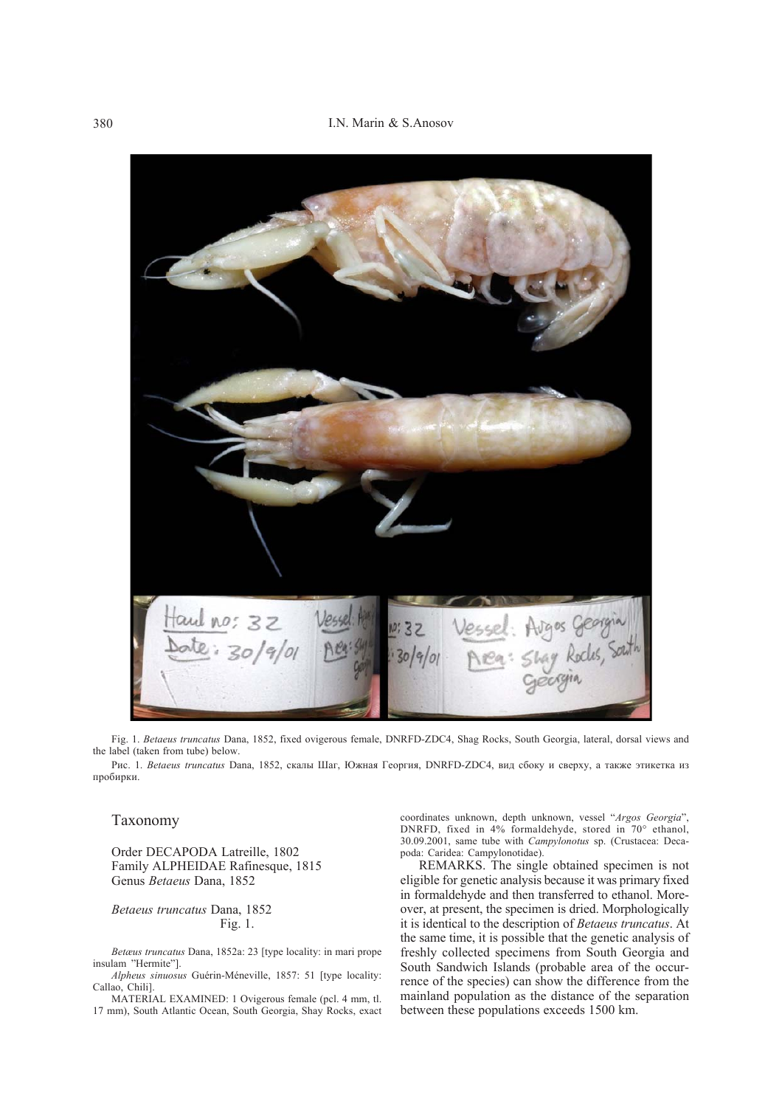

Fig. 1. *Betaeus truncatus* Dana, 1852, fixed ovigerous female, DNRFD-ZDC4, Shag Rocks, South Georgia, lateral, dorsal views and the label (taken from tube) below.

Рис. 1. *Betaeus truncatus* Dana, 1852, скалы Шаг, Южная Георгия, DNRFD-ZDC4, вид сбоку и сверху, а также этикетка из пробирки.

### Taxonomy

Order DECAPODA Latreille, 1802 Family ALPHEIDAE Rafinesque, 1815 Genus *Betaeus* Dana, 1852

*Betaeus truncatus* Dana, 1852 Fig. 1.

*Betæus truncatus* Dana, 1852a: 23 [type locality: in mari prope insulam "Hermite"].

*Alpheus sinuosus* Guérin-Méneville, 1857: 51 [type locality: Callao, Chili].

MATERIAL EXAMINED: 1 Ovigerous female (pcl. 4 mm, tl. 17 mm), South Atlantic Ocean, South Georgia, Shay Rocks, exact coordinates unknown, depth unknown, vessel "*Argos Georgia*", DNRFD, fixed in 4% formaldehyde, stored in 70° ethanol, 30.09.2001, same tube with *Campylonotus* sp. (Crustacea: Decapoda: Caridea: Campylonotidae).

REMARKS. The single obtained specimen is not eligible for genetic analysis because it was primary fixed in formaldehyde and then transferred to ethanol. Moreover, at present, the specimen is dried. Morphologically it is identical to the description of *Betaeus truncatus*. At the same time, it is possible that the genetic analysis of freshly collected specimens from South Georgia and South Sandwich Islands (probable area of the occurrence of the species) can show the difference from the mainland population as the distance of the separation between these populations exceeds 1500 km.